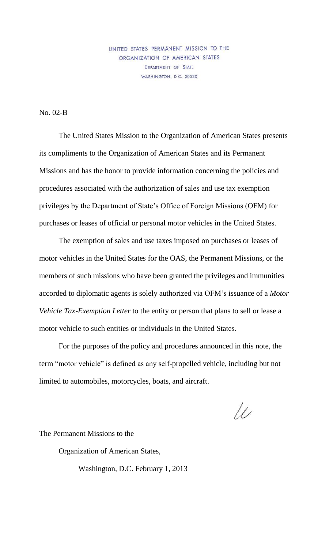UNITED STATES PERMANENT MISSION TO THE ORGANIZATION OF AMERICAN STATES DEPARTMENT OF STATE WASHINGTON, D.C. 20520

No. 02-B

The United States Mission to the Organization of American States presents its compliments to the Organization of American States and its Permanent Missions and has the honor to provide information concerning the policies and procedures associated with the authorization of sales and use tax exemption privileges by the Department of State's Office of Foreign Missions (OFM) for purchases or leases of official or personal motor vehicles in the United States.

The exemption of sales and use taxes imposed on purchases or leases of motor vehicles in the United States for the OAS, the Permanent Missions, or the members of such missions who have been granted the privileges and immunities accorded to diplomatic agents is solely authorized via OFM's issuance of a *Motor Vehicle Tax-Exemption Letter* to the entity or person that plans to sell or lease a motor vehicle to such entities or individuals in the United States.

For the purposes of the policy and procedures announced in this note, the term "motor vehicle" is defined as any self-propelled vehicle, including but not limited to automobiles, motorcycles, boats, and aircraft.

 $\mu$ 

The Permanent Missions to the

Organization of American States,

Washington, D.C. February 1, 2013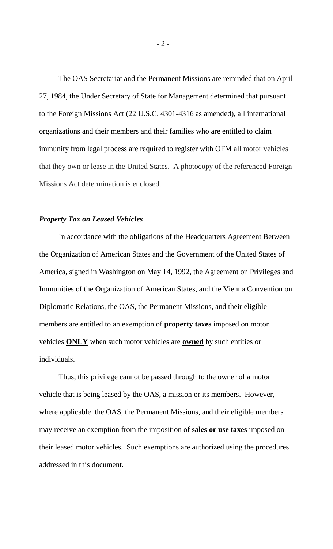The OAS Secretariat and the Permanent Missions are reminded that on April 27, 1984, the Under Secretary of State for Management determined that pursuant to the Foreign Missions Act (22 U.S.C. 4301-4316 as amended), all international organizations and their members and their families who are entitled to claim immunity from legal process are required to register with OFM all motor vehicles that they own or lease in the United States. A photocopy of the referenced Foreign Missions Act determination is enclosed.

## *Property Tax on Leased Vehicles*

In accordance with the obligations of the Headquarters Agreement Between the Organization of American States and the Government of the United States of America, signed in Washington on May 14, 1992, the Agreement on Privileges and Immunities of the Organization of American States, and the Vienna Convention on Diplomatic Relations, the OAS, the Permanent Missions, and their eligible members are entitled to an exemption of **property taxes** imposed on motor vehicles **ONLY** when such motor vehicles are **owned** by such entities or individuals.

Thus, this privilege cannot be passed through to the owner of a motor vehicle that is being leased by the OAS, a mission or its members. However, where applicable, the OAS, the Permanent Missions, and their eligible members may receive an exemption from the imposition of **sales or use taxes** imposed on their leased motor vehicles. Such exemptions are authorized using the procedures addressed in this document.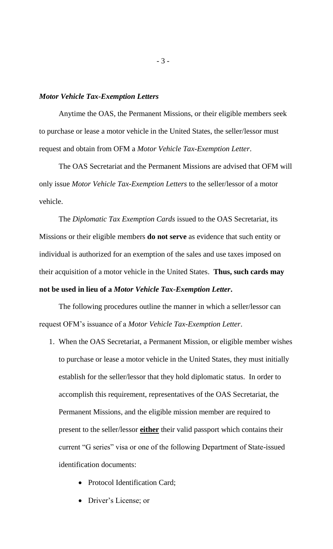## *Motor Vehicle Tax-Exemption Letters*

Anytime the OAS, the Permanent Missions, or their eligible members seek to purchase or lease a motor vehicle in the United States, the seller/lessor must request and obtain from OFM a *Motor Vehicle Tax-Exemption Letter*.

The OAS Secretariat and the Permanent Missions are advised that OFM will only issue *Motor Vehicle Tax-Exemption Letters* to the seller/lessor of a motor vehicle.

The *Diplomatic Tax Exemption Cards* issued to the OAS Secretariat, its Missions or their eligible members **do not serve** as evidence that such entity or individual is authorized for an exemption of the sales and use taxes imposed on their acquisition of a motor vehicle in the United States. **Thus, such cards may not be used in lieu of a** *Motor Vehicle Tax-Exemption Letter***.**

The following procedures outline the manner in which a seller/lessor can request OFM's issuance of a *Motor Vehicle Tax-Exemption Letter*.

- 1. When the OAS Secretariat, a Permanent Mission, or eligible member wishes to purchase or lease a motor vehicle in the United States, they must initially establish for the seller/lessor that they hold diplomatic status. In order to accomplish this requirement, representatives of the OAS Secretariat, the Permanent Missions, and the eligible mission member are required to present to the seller/lessor **either** their valid passport which contains their current "G series" visa or one of the following Department of State-issued identification documents:
	- Protocol Identification Card;
	- Driver's License; or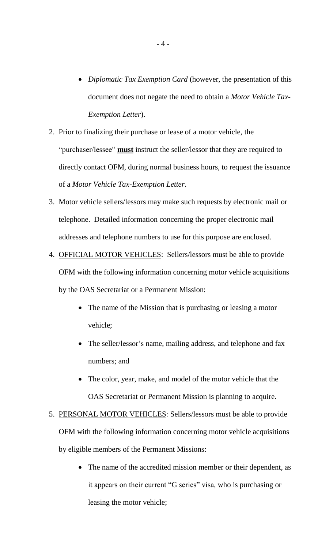- *Diplomatic Tax Exemption Card* (however, the presentation of this document does not negate the need to obtain a *Motor Vehicle Tax-Exemption Letter*).
- 2. Prior to finalizing their purchase or lease of a motor vehicle, the "purchaser/lessee" **must** instruct the seller/lessor that they are required to directly contact OFM, during normal business hours, to request the issuance of a *Motor Vehicle Tax-Exemption Letter*.
- 3. Motor vehicle sellers/lessors may make such requests by electronic mail or telephone. Detailed information concerning the proper electronic mail addresses and telephone numbers to use for this purpose are enclosed.
- 4. OFFICIAL MOTOR VEHICLES: Sellers/lessors must be able to provide OFM with the following information concerning motor vehicle acquisitions by the OAS Secretariat or a Permanent Mission:
	- The name of the Mission that is purchasing or leasing a motor vehicle;
	- The seller/lessor's name, mailing address, and telephone and fax numbers; and
	- The color, year, make, and model of the motor vehicle that the OAS Secretariat or Permanent Mission is planning to acquire.
- 5. PERSONAL MOTOR VEHICLES: Sellers/lessors must be able to provide OFM with the following information concerning motor vehicle acquisitions by eligible members of the Permanent Missions:
	- The name of the accredited mission member or their dependent, as it appears on their current "G series" visa, who is purchasing or leasing the motor vehicle;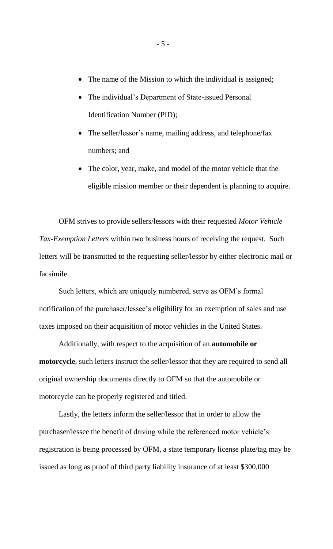- The name of the Mission to which the individual is assigned;
- The individual's Department of State-issued Personal Identification Number (PID);
- The seller/lessor's name, mailing address, and telephone/fax numbers; and
- The color, year, make, and model of the motor vehicle that the eligible mission member or their dependent is planning to acquire.

OFM strives to provide sellers/lessors with their requested *Motor Vehicle Tax-Exemption Letters* within two business hours of receiving the request. Such letters will be transmitted to the requesting seller/lessor by either electronic mail or facsimile.

Such letters, which are uniquely numbered, serve as OFM's formal notification of the purchaser/lessee's eligibility for an exemption of sales and use taxes imposed on their acquisition of motor vehicles in the United States.

Additionally, with respect to the acquisition of an **automobile or motorcycle**, such letters instruct the seller/lessor that they are required to send all original ownership documents directly to OFM so that the automobile or motorcycle can be properly registered and titled.

Lastly, the letters inform the seller/lessor that in order to allow the purchaser/lessee the benefit of driving while the referenced motor vehicle's registration is being processed by OFM, a state temporary license plate/tag may be issued as long as proof of third party liability insurance of at least \$300,000